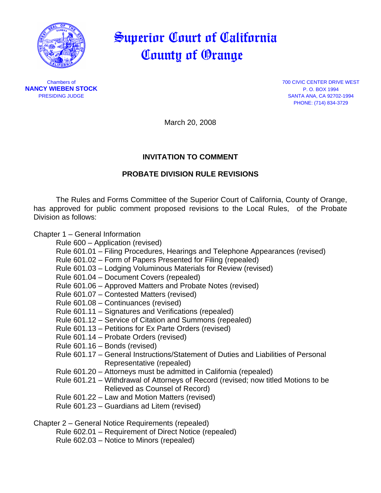

# Superior Court of California County of Orange

**NANCY WIEBEN STOCK** P. O. BOX 1994

Chambers of 700 CIVIC CENTER DRIVE WEST PRESIDING JUDGE SANTA ANA, CA 92702-1994 PHONE: (714) 834-3729

March 20, 2008

# **INVITATION TO COMMENT**

# **PROBATE DIVISION RULE REVISIONS**

The Rules and Forms Committee of the Superior Court of California, County of Orange, has approved for public comment proposed revisions to the Local Rules, of the Probate Division as follows:

## Chapter 1 – General Information

Rule 600 – Application (revised)

- Rule 601.01 Filing Procedures, Hearings and Telephone Appearances (revised)
- Rule 601.02 Form of Papers Presented for Filing (repealed)
- Rule 601.03 Lodging Voluminous Materials for Review (revised)
- Rule 601.04 Document Covers (repealed)
- Rule 601.06 Approved Matters and Probate Notes (revised)
- Rule 601.07 Contested Matters (revised)
- Rule 601.08 Continuances (revised)
- Rule 601.11 Signatures and Verifications (repealed)
- Rule 601.12 Service of Citation and Summons (repealed)
- Rule 601.13 Petitions for Ex Parte Orders (revised)
- Rule 601.14 Probate Orders (revised)
- Rule 601.16 Bonds (revised)
- Rule 601.17 General Instructions/Statement of Duties and Liabilities of Personal Representative (repealed)
- Rule 601.20 Attorneys must be admitted in California (repealed)
- Rule 601.21 Withdrawal of Attorneys of Record (revised; now titled Motions to be Relieved as Counsel of Record)
- Rule 601.22 Law and Motion Matters (revised)
- Rule 601.23 Guardians ad Litem (revised)

Chapter 2 – General Notice Requirements (repealed)

- Rule 602.01 Requirement of Direct Notice (repealed)
- Rule 602.03 Notice to Minors (repealed)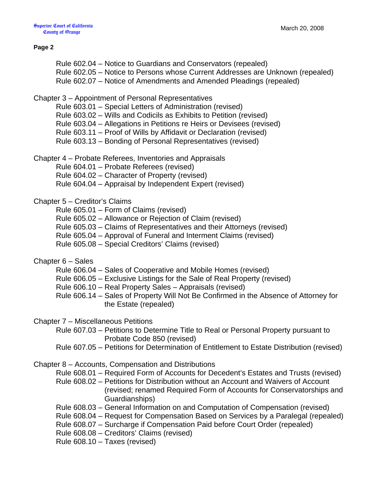#### **Page 2**

 Rule 602.04 – Notice to Guardians and Conservators (repealed) Rule 602.05 – Notice to Persons whose Current Addresses are Unknown (repealed) Rule 602.07 – Notice of Amendments and Amended Pleadings (repealed)

#### Chapter 3 – Appointment of Personal Representatives

- Rule 603.01 Special Letters of Administration (revised)
- Rule 603.02 Wills and Codicils as Exhibits to Petition (revised)
- Rule 603.04 Allegations in Petitions re Heirs or Devisees (revised)
- Rule 603.11 Proof of Wills by Affidavit or Declaration (revised)
- Rule 603.13 Bonding of Personal Representatives (revised)
- Chapter 4 Probate Referees, Inventories and Appraisals
	- Rule 604.01 Probate Referees (revised)
	- Rule 604.02 Character of Property (revised)
	- Rule 604.04 Appraisal by Independent Expert (revised)

#### Chapter 5 – Creditor's Claims

- Rule 605.01 Form of Claims (revised)
- Rule 605.02 Allowance or Rejection of Claim (revised)
- Rule 605.03 Claims of Representatives and their Attorneys (revised)
- Rule 605.04 Approval of Funeral and Interment Claims (revised)
- Rule 605.08 Special Creditors' Claims (revised)

#### Chapter 6 – Sales

- Rule 606.04 Sales of Cooperative and Mobile Homes (revised)
- Rule 606.05 Exclusive Listings for the Sale of Real Property (revised)
- Rule 606.10 Real Property Sales Appraisals (revised)
- Rule 606.14 Sales of Property Will Not Be Confirmed in the Absence of Attorney for the Estate (repealed)

Chapter 7 – Miscellaneous Petitions

- Rule 607.03 Petitions to Determine Title to Real or Personal Property pursuant to Probate Code 850 (revised)
- Rule 607.05 Petitions for Determination of Entitlement to Estate Distribution (revised)
- Chapter 8 Accounts, Compensation and Distributions
	- Rule 608.01 Required Form of Accounts for Decedent's Estates and Trusts (revised)
	- Rule 608.02 Petitions for Distribution without an Account and Waivers of Account (revised; renamed Required Form of Accounts for Conservatorships and Guardianships)
	- Rule 608.03 General Information on and Computation of Compensation (revised)
	- Rule 608.04 Request for Compensation Based on Services by a Paralegal (repealed)
	- Rule 608.07 Surcharge if Compensation Paid before Court Order (repealed)
	- Rule 608.08 Creditors' Claims (revised)
	- Rule 608.10 Taxes (revised)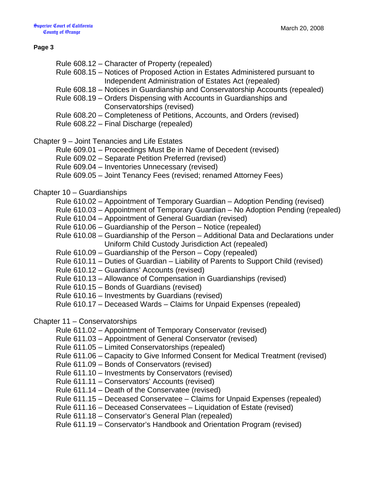#### **Page 3**

- Rule 608.12 Character of Property (repealed)
- Rule 608.15 Notices of Proposed Action in Estates Administered pursuant to Independent Administration of Estates Act (repealed)
- Rule 608.18 Notices in Guardianship and Conservatorship Accounts (repealed)
- Rule 608.19 Orders Dispensing with Accounts in Guardianships and Conservatorships (revised)
- Rule 608.20 Completeness of Petitions, Accounts, and Orders (revised)
- Rule 608.22 Final Discharge (repealed)
- Chapter 9 Joint Tenancies and Life Estates
	- Rule 609.01 Proceedings Must Be in Name of Decedent (revised)
	- Rule 609.02 Separate Petition Preferred (revised)
	- Rule 609.04 Inventories Unnecessary (revised)
	- Rule 609.05 Joint Tenancy Fees (revised; renamed Attorney Fees)

## Chapter 10 – Guardianships

- Rule 610.02 Appointment of Temporary Guardian Adoption Pending (revised)
- Rule 610.03 Appointment of Temporary Guardian No Adoption Pending (repealed)
- Rule 610.04 Appointment of General Guardian (revised)
- Rule 610.06 Guardianship of the Person Notice (repealed)
- Rule 610.08 Guardianship of the Person Additional Data and Declarations under Uniform Child Custody Jurisdiction Act (repealed)
- Rule 610.09 Guardianship of the Person Copy (repealed)
- Rule 610.11 Duties of Guardian Liability of Parents to Support Child (revised)
- Rule 610.12 Guardians' Accounts (revised)
- Rule 610.13 Allowance of Compensation in Guardianships (revised)
- Rule 610.15 Bonds of Guardians (revised)
- Rule 610.16 Investments by Guardians (revised)
- Rule 610.17 Deceased Wards Claims for Unpaid Expenses (repealed)

### Chapter 11 – Conservatorships

- Rule 611.02 Appointment of Temporary Conservator (revised)
- Rule 611.03 Appointment of General Conservator (revised)
- Rule 611.05 Limited Conservatorships (repealed)
- Rule 611.06 Capacity to Give Informed Consent for Medical Treatment (revised)
- Rule 611.09 Bonds of Conservators (revised)
- Rule 611.10 Investments by Conservators (revised)
- Rule 611.11 Conservators' Accounts (revised)
- Rule 611.14 Death of the Conservatee (revised)
- Rule 611.15 Deceased Conservatee Claims for Unpaid Expenses (repealed)
- Rule 611.16 Deceased Conservatees Liquidation of Estate (revised)
- Rule 611.18 Conservator's General Plan (repealed)
- Rule 611.19 Conservator's Handbook and Orientation Program (revised)